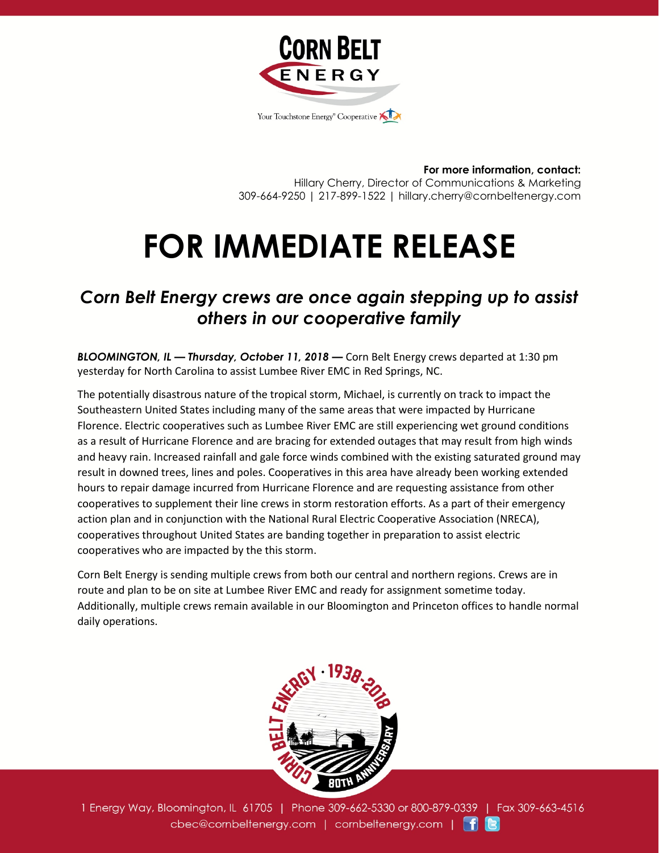

**For more information, contact:** Hillary Cherry, Director of Communications & Marketing 309-664-9250 | 217-899-1522 | hillary.cherry@cornbeltenergy.com

## **FOR IMMEDIATE RELEASE**

## *Corn Belt Energy crews are once again stepping up to assist others in our cooperative family*

*BLOOMINGTON, IL — Thursday, October 11, 2018 —* Corn Belt Energy crews departed at 1:30 pm yesterday for North Carolina to assist Lumbee River EMC in Red Springs, NC.

The potentially disastrous nature of the tropical storm, Michael, is currently on track to impact the Southeastern United States including many of the same areas that were impacted by Hurricane Florence. Electric cooperatives such as Lumbee River EMC are still experiencing wet ground conditions as a result of Hurricane Florence and are bracing for extended outages that may result from high winds and heavy rain. Increased rainfall and gale force winds combined with the existing saturated ground may result in downed trees, lines and poles. Cooperatives in this area have already been working extended hours to repair damage incurred from Hurricane Florence and are requesting assistance from other cooperatives to supplement their line crews in storm restoration efforts. As a part of their emergency action plan and in conjunction with the National Rural Electric Cooperative Association (NRECA), cooperatives throughout United States are banding together in preparation to assist electric cooperatives who are impacted by the this storm.

Corn Belt Energy is sending multiple crews from both our central and northern regions. Crews are in route and plan to be on site at Lumbee River EMC and ready for assignment sometime today. Additionally, multiple crews remain available in our Bloomington and Princeton offices to handle normal daily operations.



1 Energy Way, Bloomington, IL 61705 | Phone 309-662-5330 or 800-879-0339 | Fax 309-663-4516 cbec@cornbeltenergy.com | cornbeltenergy.com | f